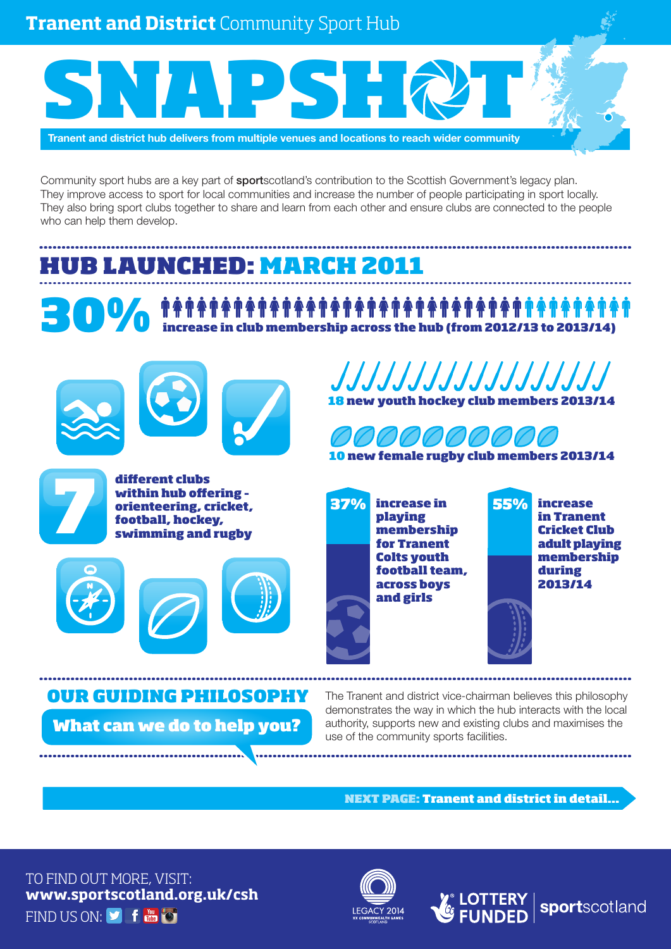**Tranent and District** Community Sport Hub

# SNAPSHQT

**Tranent and district hub delivers from multiple venues and locations to reach wider community**

Community sport hubs are a key part of sportscotland's contribution to the Scottish Government's legacy plan. They improve access to sport for local communities and increase the number of people participating in sport locally. They also bring sport clubs together to share and learn from each other and ensure clubs are connected to the people who can help them develop.

## HUB LAUNCHED: MARCH 2011

**30% THE INCREASE OF A THE THE THE TERM OF A THE THE TERM OF A THE TERM OF A THE TERM OF A THE TERM OF A THE TE<br>300% The increase in club membership across the hub (from 2012/13 to 2013/14)** 



7

different clubs within hub offering – orienteering, cricket, football, hockey, swimming and rugby









10 new female rugby club members 2013/14

increase in 37% 55% playing membership for Tranent Colts youth football team, across boys and girls



sportscotland

The Tranent and district vice-chairman believes this philosophy demonstrates the way in which the hub interacts with the local authority, supports new and existing clubs and maximises the use of the community sports facilities. What can we do to help you? OUR GUIDING PHILOSOPHY

NEXT PAGE: Tranent and district in detail...

TO FIND OUT MORE, VISIT: **www.sportscotland.org.uk/csh** FIND US ON: SOFT THE FO